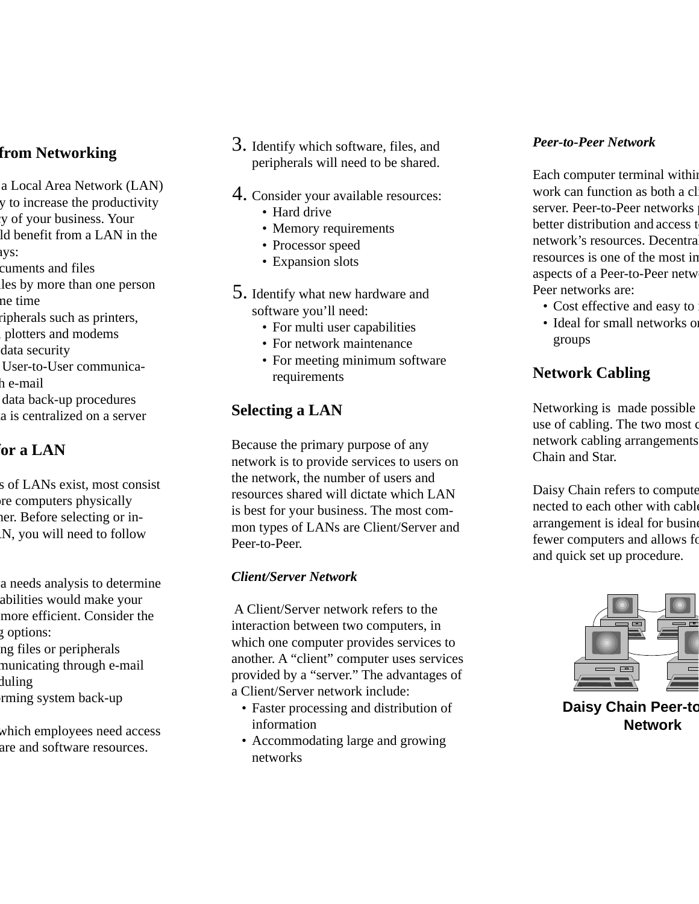### **from Networking**

- a Local Area Network (LAN) y to increase the productivity cy of your business. Your ld benefit from a LAN in the
- ays:
- cuments and files
- iles by more than one person me time
- ripherals such as printers,
- , plotters and modems
- data security
- User-to-User communica-
- h e-mail
- data back-up procedures
- a is centralized on a server

# **for a LAN**

- s of LANs exist, most consist re computers physically her. Before selecting or in-AN, you will need to follow
- a needs analysis to determine pabilities would make your more efficient. Consider the g options:
- ng files or peripherals municating through e-mail
- duling
- rming system back-up
- which employees need access are and software resources.
- 3. Identify which software, files, and peripherals will need to be shared.
- 4. Consider your available resources:
	- Hard drive
	- Memory requirements
	- Processor speed
	- Expansion slots
- 5. Identify what new hardware and software you'll need:
	- For multi user capabilities
	- For network maintenance
	- For meeting minimum software requirements

# **Selecting a LAN**

Because the primary purpose of any network is to provide services to users on the network, the number of users and resources shared will dictate which LAN is best for your business. The most common types of LANs are Client/Server and Peer-to-Peer.

#### *Client/Server Network*

 A Client/Server network refers to the interaction between two computers, in which one computer provides services to another. A "client" computer uses services provided by a "server." The advantages of a Client/Server network include:

- Faster processing and distribution of information
- Accommodating large and growing networks

#### *Peer-to-Peer Network*

Each computer terminal within work can function as both a cl server. Peer-to-Peer networks better distribution and access to network's resources. Decentral resources is one of the most im aspects of a Peer-to-Peer netwo Peer networks are:

- Cost effective and easy to i
- Ideal for small networks or groups

### **Network Cabling**

Networking is made possible use of cabling. The two most c network cabling arrangements Chain and Star.

Daisy Chain refers to compute nected to each other with cable arrangement is ideal for busine fewer computers and allows fo and quick set up procedure.



 **Daisy Chain Peer-to Network**